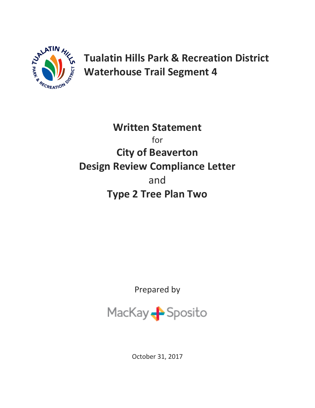

**Tualatin Hills Park & Recreation District Waterhouse Trail Segment 4** 

**Written Statement** for **City of Beaverton Design Review Compliance Letter** and **Type 2 Tree Plan Two**

Prepared by



October 31, 2017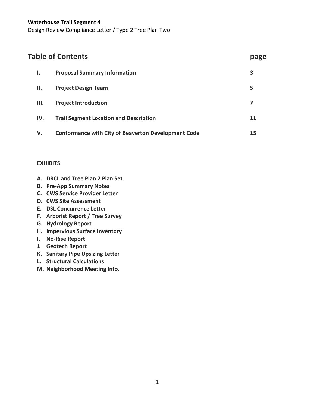| <b>Table of Contents</b> |     |                                                            | page |
|--------------------------|-----|------------------------------------------------------------|------|
|                          | ı.  | <b>Proposal Summary Information</b>                        | 3    |
|                          | Н.  | <b>Project Design Team</b>                                 | 5    |
|                          | Ш.  | <b>Project Introduction</b>                                | 7    |
|                          | IV. | <b>Trail Segment Location and Description</b>              | 11   |
|                          | V.  | <b>Conformance with City of Beaverton Development Code</b> | 15   |

## **EXHIBITS**

- **A. DRCL and Tree Plan 2 Plan Set**
- **B. Pre-App Summary Notes**
- **C. CWS Service Provider Letter**
- **D. CWS Site Assessment**
- **E. DSL Concurrence Letter**
- **F. Arborist Report / Tree Survey**
- **G. Hydrology Report**
- **H. Impervious Surface Inventory**
- **I. No-Rise Report**
- **J. Geotech Report**
- **K. Sanitary Pipe Upsizing Letter**
- **L. Structural Calculations**
- **M. Neighborhood Meeting Info.**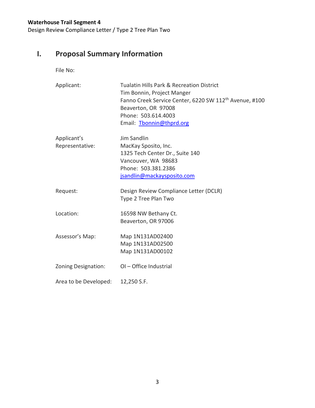Design Review Compliance Letter / Type 2 Tree Plan Two

# **I. Proposal Summary Information**

File No:

| Applicant:                     | <b>Tualatin Hills Park &amp; Recreation District</b><br>Tim Bonnin, Project Manger<br>Fanno Creek Service Center, 6220 SW 112 <sup>th</sup> Avenue, #100<br>Beaverton, OR 97008<br>Phone: 503.614.4003<br>Email: Thonnin@thprd.org |
|--------------------------------|------------------------------------------------------------------------------------------------------------------------------------------------------------------------------------------------------------------------------------|
| Applicant's<br>Representative: | Jim Sandlin<br>MacKay Sposito, Inc.<br>1325 Tech Center Dr., Suite 140<br>Vancouver, WA 98683<br>Phone: 503.381.2386<br>jsandlin@mackaysposito.com                                                                                 |
| Request:                       | Design Review Compliance Letter (DCLR)<br>Type 2 Tree Plan Two                                                                                                                                                                     |
| Location:                      | 16598 NW Bethany Ct.<br>Beaverton, OR 97006                                                                                                                                                                                        |
| Assessor's Map:                | Map 1N131AD02400<br>Map 1N131AD02500<br>Map 1N131AD00102                                                                                                                                                                           |
| <b>Zoning Designation:</b>     | OI-Office Industrial                                                                                                                                                                                                               |
| Area to be Developed:          | 12,250 S.F.                                                                                                                                                                                                                        |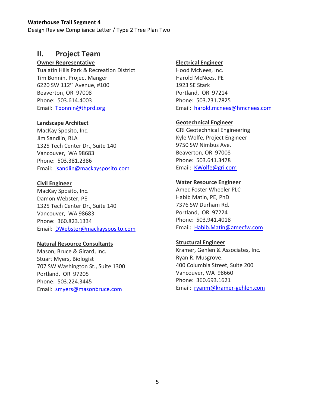Design Review Compliance Letter / Type 2 Tree Plan Two

## **II. Project Team**

## **Owner Representative**

Tualatin Hills Park & Recreation District Tim Bonnin, Project Manger 6220 SW 112th Avenue, #100 Beaverton, OR 97008 Phone: 503.614.4003 Email: [Tbonnin@thprd.org](mailto:Tbonnin@thprd.org)

## **Landscape Architect**

MacKay Sposito, Inc. Jim Sandlin, RLA 1325 Tech Center Dr., Suite 140 Vancouver, WA 98683 Phone: 503.381.2386 Email: [jsandlin@mackaysposito.com](mailto:jsandlin@mackaysposito.com)

## **Civil Engineer**

MacKay Sposito, Inc. Damon Webster, PE 1325 Tech Center Dr., Suite 140 Vancouver, WA 98683 Phone: 360.823.1334 Email: [DWebster@mackaysposito.com](mailto:DWebster@mackaysposito.com)

## **Natural Resource Consultants**

Mason, Bruce & Girard, Inc. Stuart Myers, Biologist 707 SW Washington St., Suite 1300 Portland, OR 97205 Phone: 503.224.3445 Email: [smyers@masonbruce.com](mailto:smyers@masonbruce.com)

## **Electrical Engineer**

Hood McNees, Inc. Harold McNees, PE 1923 SE Stark Portland, OR 97214 Phone: 503.231.7825 Email: [harold.mcnees@hmcnees.com](mailto:harold.mcnees@hmcnees.com)

## **Geotechnical Engineer**

GRI Geotechnical Engineering Kyle Wolfe, Project Engineer 9750 SW Nimbus Ave. Beaverton, OR 97008 Phone: 503.641.3478 Email: [KWolfe@gri.com](mailto:KWolfe@gri.com)

## **Water Resource Engineer**

Amec Foster Wheeler PLC Habib Matin, PE, PhD 7376 SW Durham Rd. Portland, OR 97224 Phone: 503.941.4018 Email: [Habib.Matin@amecfw.com](mailto:Habib.Matin@amecfw.com)

## **Structural Engineer**

Kramer, Gehlen & Associates, Inc. Ryan R. Musgrove. 400 Columbia Street, Suite 200 Vancouver, WA 98660 Phone: 360.693.1621 Email: [ryanm@kramer-gehlen.com](mailto:daveg@kramer-gehlen.com)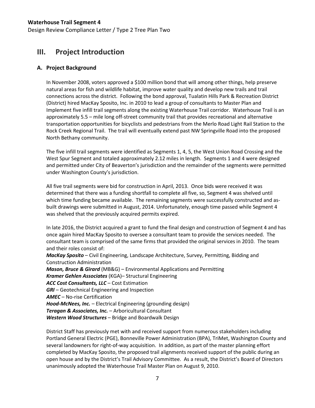## **III. Project Introduction**

## **A. Project Background**

In November 2008, voters approved a \$100 million bond that will among other things, help preserve natural areas for fish and wildlife habitat, improve water quality and develop new trails and trail connections across the district. Following the bond approval, Tualatin Hills Park & Recreation District (District) hired MacKay Sposito, Inc. in 2010 to lead a group of consultants to Master Plan and Implement five infill trail segments along the existing Waterhouse Trail corridor. Waterhouse Trail is an approximately 5.5 – mile long off-street community trail that provides recreational and alternative transportation opportunities for bicyclists and pedestrians from the Merlo Road Light Rail Station to the Rock Creek Regional Trail. The trail will eventually extend past NW Springville Road into the proposed North Bethany community.

The five infill trail segments were identified as Segments 1, 4, 5, the West Union Road Crossing and the West Spur Segment and totaled approximately 2.12 miles in length. Segments 1 and 4 were designed and permitted under City of Beaverton's jurisdiction and the remainder of the segments were permitted under Washington County's jurisdiction.

All five trail segments were bid for construction in April, 2013. Once bids were received it was determined that there was a funding shortfall to complete all five, so, Segment 4 was shelved until which time funding became available. The remaining segments were successfully constructed and asbuilt drawings were submitted in August, 2014. Unfortunately, enough time passed while Segment 4 was shelved that the previously acquired permits expired.

In late 2016, the District acquired a grant to fund the final design and construction of Segment 4 and has once again hired MacKay Sposito to oversee a consultant team to provide the services needed. The consultant team is comprised of the same firms that provided the original services in 2010. The team and their roles consist of:

*MacKay Sposito* – Civil Engineering, Landscape Architecture, Survey, Permitting, Bidding and Construction Administration

*Mason, Bruce & Girard* (MB&G) – Environmental Applications and Permitting *Kramer Gehlen Associates* (KGA)– Structural Engineering *ACC Cost Consultants, LLC* – Cost Estimation *GRI* – Geotechnical Engineering and Inspection *AMEC* – No-rise Certification *Hood-McNees, Inc.* – Electrical Engineering (grounding design) *Teragan & Associates, Inc.* – Arboricultural Consultant *Western Wood Structures* – Bridge and Boardwalk Design

District Staff has previously met with and received support from numerous stakeholders including Portland General Electric (PGE), Bonneville Power Administration (BPA), TriMet, Washington County and several landowners for right-of-way acquisition. In addition, as part of the master planning effort completed by MacKay Sposito, the proposed trail alignments received support of the public during an open house and by the District's Trail Advisory Committee. As a result, the District's Board of Directors unanimously adopted the Waterhouse Trail Master Plan on August 9, 2010.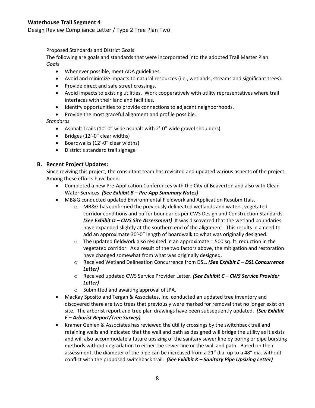Design Review Compliance Letter / Type 2 Tree Plan Two

#### Proposed Standards and District Goals

The following are goals and standards that were incorporated into the adopted Trail Master Plan: *Goals*

- Whenever possible, meet ADA guidelines.
- Avoid and minimize impacts to natural resources (i.e., wetlands, streams and significant trees).
- Provide direct and safe street crossings.
- Avoid impacts to existing utilities. Work cooperatively with utility representatives where trail interfaces with their land and facilities.
- Identify opportunities to provide connections to adjacent neighborhoods.
- Provide the most graceful alignment and profile possible.

#### *Standards*

- Asphalt Trails (10'-0" wide asphalt with 2'-0" wide gravel shoulders)
- Bridges (12'-0" clear widths)
- Boardwalks (12'-0" clear widths)
- District's standard trail signage

## **B. Recent Project Updates:**

Since reviving this project, the consultant team has revisited and updated various aspects of the project. Among these efforts have been:

- Completed a new Pre-Application Conferences with the City of Beaverton and also with Clean Water Services. *(See Exhibit B – Pre-App Summary Notes)*
- MB&G conducted updated Environmental Fieldwork and Application Resubmittals.
	- $\circ$  MB&G has confirmed the previously delineated wetlands and waters, vegetated corridor conditions and buffer boundaries per CWS Design and Construction Standards. *(See Exhibit D – CWS Site Assessment)* It was discovered that the wetland boundaries have expanded slightly at the southern end of the alignment. This results in a need to add an approximate 30'-0" length of boardwalk to what was originally designed.
	- $\circ$  The updated fieldwork also resulted in an approximate 1,500 sq. ft. reduction in the vegetated corridor. As a result of the two factors above, the mitigation and restoration have changed somewhat from what was originally designed.
	- o Received Wetland Delineation Concurrence from DSL. *(See Exhibit E – DSL Concurrence Letter)*
	- o Received updated CWS Service Provider Letter. *(See Exhibit C – CWS Service Provider Letter)*
	- o Submitted and awaiting approval of JPA.
- MacKay Sposito and Tergan & Associates, Inc. conducted an updated tree inventory and discovered there are two trees that previously were marked for removal that no longer exist on site. The arborist report and tree plan drawings have been subsequently updated. *(See Exhibit F – Arborist Report/Tree Survey)*
- Kramer Gehlen & Associates has reviewed the utility crossings by the switchback trail and retaining walls and indicated that the wall and path as designed will bridge the utility as it exists and will also accommodate a future upsizing of the sanitary sewer line by boring or pipe bursting methods without degradation to either the sewer line or the wall and path. Based on their assessment, the diameter of the pipe can be increased from a 21" dia. up to a 48" dia. without conflict with the proposed switchback trail. *(See Exhibit K – Sanitary Pipe Upsizing Letter)*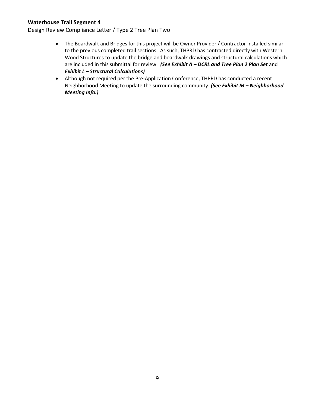- The Boardwalk and Bridges for this project will be Owner Provider / Contractor Installed similar to the previous completed trail sections. As such, THPRD has contracted directly with Western Wood Structures to update the bridge and boardwalk drawings and structural calculations which are included in this submittal for review. *(See Exhibit A – DCRL and Tree Plan 2 Plan Set* and *Exhibit L – Structural Calculations)*
- Although not required per the Pre-Application Conference, THPRD has conducted a recent Neighborhood Meeting to update the surrounding community. *(See Exhibit M – Neighborhood Meeting Info.)*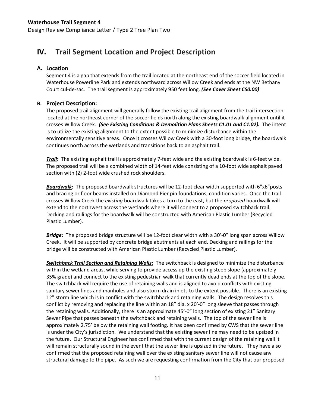## **IV. Trail Segment Location and Project Description**

## **A. Location**

Segment 4 is a gap that extends from the trail located at the northeast end of the soccer field located in Waterhouse Powerline Park and extends northward across Willow Creek and ends at the NW Bethany Court cul-de-sac. The trail segment is approximately 950 feet long. *(See Cover Sheet CS0.00)*

## **B. Project Description:**

The proposed trail alignment will generally follow the existing trail alignment from the trail intersection located at the northeast corner of the soccer fields north along the existing boardwalk alignment until it crosses Willow Creek. *(See Existing Conditions & Demolition Plans Sheets C1.01 and C1.02).* The intent is to utilize the existing alignment to the extent possible to minimize disturbance within the environmentally sensitive areas. Once it crosses Willow Creek with a 30-foot long bridge, the boardwalk continues north across the wetlands and transitions back to an asphalt trail.

*Trail***:** The existing asphalt trail is approximately 7-feet wide and the existing boardwalk is 6-feet wide. The proposed trail will be a combined width of 14-feet wide consisting of a 10-foot wide asphalt paved section with (2) 2-foot wide crushed rock shoulders.

*Boardwalk***:** The proposed boardwalk structures will be 12-foot clear width supported with 6"x6"posts and bracing or floor beams installed on Diamond Pier pin foundations, condition varies. Once the trail crosses Willow Creek the *existing* boardwalk takes a turn to the east, but the *proposed* boardwalk will extend to the northwest across the wetlands where it will connect to a proposed switchback trail. Decking and railings for the boardwalk will be constructed with American Plastic Lumber (Recycled Plastic Lumber).

*Bridge:* The proposed bridge structure will be 12-foot clear width with a 30'-0" long span across Willow Creek. It will be supported by concrete bridge abutments at each end. Decking and railings for the bridge will be constructed with American Plastic Lumber (Recycled Plastic Lumber).

*Switchback Trail Section and Retaining Walls:* The switchback is designed to minimize the disturbance within the wetland areas, while serving to provide access up the existing steep slope (approximately 35% grade) and connect to the existing pedestrian walk that currently dead ends at the top of the slope. The switchback will require the use of retaining walls and is aligned to avoid conflicts with existing sanitary sewer lines and manholes and also storm drain inlets to the extent possible. There is an existing 12" storm line which is in conflict with the switchback and retaining walls. The design resolves this conflict by removing and replacing the line within an 18" dia. x 20'-0" long sleeve that passes through the retaining walls. Additionally, there is an approximate 45'-0" long section of existing 21" Sanitary Sewer Pipe that passes beneath the switchback and retaining walls. The top of the sewer line is approximately 2.75' below the retaining wall footing. It has been confirmed by CWS that the sewer line is under the City's jurisdiction. We understand that the existing sewer line may need to be upsized in the future. Our Structural Engineer has confirmed that with the current design of the retaining wall it will remain structurally sound in the event that the sewer line is upsized in the future. They have also confirmed that the proposed retaining wall over the existing sanitary sewer line will not cause any structural damage to the pipe. As such we are requesting confirmation from the City that our proposed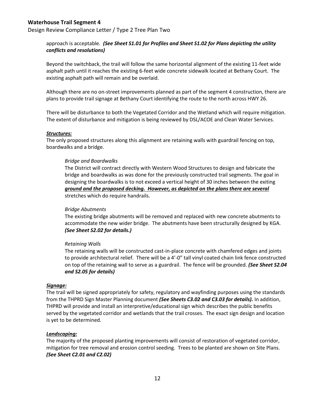Design Review Compliance Letter / Type 2 Tree Plan Two

### approach is acceptable. *(See Sheet S1.01 for Profiles and Sheet S1.02 for Plans depicting the utility conflicts and resolutions)*

Beyond the switchback, the trail will follow the same horizontal alignment of the existing 11-feet wide asphalt path until it reaches the existing 6-feet wide concrete sidewalk located at Bethany Court. The existing asphalt path will remain and be overlaid.

Although there are no on-street improvements planned as part of the segment 4 construction, there are plans to provide trail signage at Bethany Court identifying the route to the north across HWY 26.

There will be disturbance to both the Vegetated Corridor and the Wetland which will require mitigation. The extent of disturbance and mitigation is being reviewed by DSL/ACOE and Clean Water Services.

#### *Structures:*

The only proposed structures along this alignment are retaining walls with guardrail fencing on top, boardwalks and a bridge.

#### *Bridge and Boardwalks*

The District will contract directly with Western Wood Structures to design and fabricate the bridge and boardwalks as was done for the previously constructed trail segments. The goal in designing the boardwalks is to not exceed a vertical height of 30 inches between the exiting *ground and the proposed decking. However, as depicted on the plans there are several* stretches which do require handrails.

#### *Bridge Abutments*

The existing bridge abutments will be removed and replaced with new concrete abutments to accommodate the new wider bridge. The abutments have been structurally designed by KGA. *(See Sheet S2.02 for details.)*

#### *Retaining Walls*

The retaining walls will be constructed cast-in-place concrete with chamfered edges and joints to provide architectural relief. There will be a 4'-0" tall vinyl coated chain link fence constructed on top of the retaining wall to serve as a guardrail. The fence will be grounded. *(See Sheet S2.04 and S2.05 for details)*

#### *Signage:*

The trail will be signed appropriately for safety, regulatory and wayfinding purposes using the standards from the THPRD Sign Master Planning document *(See Sheets C3.02 and C3.03 for details).* In addition, THPRD will provide and install an interpretive/educational sign which describes the public benefits served by the vegetated corridor and wetlands that the trail crosses. The exact sign design and location is yet to be determined.

#### *Landscaping:*

The majority of the proposed planting improvements will consist of restoration of vegetated corridor, mitigation for tree removal and erosion control seeding. Trees to be planted are shown on Site Plans. *(See Sheet C2.01 and C2.02)*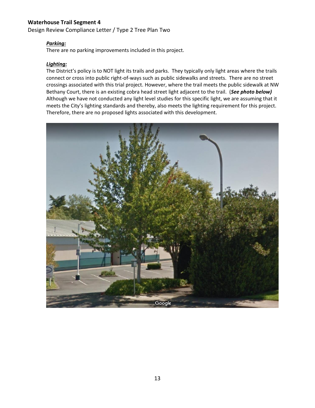Design Review Compliance Letter / Type 2 Tree Plan Two

#### *Parking:*

There are no parking improvements included in this project.

#### *Lighting:*

The District's policy is to NOT light its trails and parks. They typically only light areas where the trails connect or cross into public right-of-ways such as public sidewalks and streets. There are no street crossings associated with this trial project. However, where the trail meets the public sidewalk at NW Bethany Court, there is an existing cobra head street light adjacent to the trail. (*See photo below)* Although we have not conducted any light level studies for this specific light, we are assuming that it meets the City's lighting standards and thereby, also meets the lighting requirement for this project. Therefore, there are no proposed lights associated with this development.

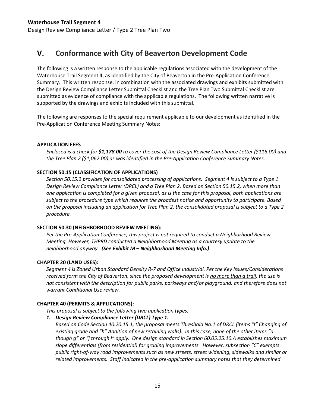## **V. Conformance with City of Beaverton Development Code**

The following is a written response to the applicable regulations associated with the development of the Waterhouse Trail Segment 4, as identified by the City of Beaverton in the Pre-Application Conference Summary. This written response, in combination with the associated drawings and exhibits submitted with the Design Review Compliance Letter Submittal Checklist and the Tree Plan Two Submittal Checklist are submitted as evidence of compliance with the applicable regulations. The following written narrative is supported by the drawings and exhibits included with this submittal.

The following are responses to the special requirement applicable to our development as identified in the Pre-Application Conference Meeting Summary Notes:

#### **APPLICATION FEES**

*Enclosed is a check for \$1,178.00 to cover the cost of the Design Review Compliance Letter (\$116.00) and the Tree Plan 2 (\$1,062.00) as was identified in the Pre-Application Conference Summary Notes.*

#### **SECTION 50.15 (CLASSIFICATION OF APPLICATIONS)**

*Section 50.15.2 provides for consolidated processing of applications. Segment 4 is subject to a Type 1 Design Review Compliance Letter (DRCL) and a Tree Plan 2. Based on Section 50.15.2, when more than one application is completed for a given proposal, as is the case for this proposal, both applications are subject to the procedure type which requires the broadest notice and opportunity to participate. Based on the proposal including an application for Tree Plan 2, the consolidated proposal is subject to a Type 2 procedure.* 

#### **SECTION 50.30 (NEIGHBORHOOD REVIEW MEETING):**

*Per the Pre-Application Conference, this project is not required to conduct a Neighborhood Review Meeting. However, THPRD conducted a Neighborhood Meeting as a courtesy update to the neighborhood anyway. (See Exhibit M – Neighborhood Meeting Info.)*

#### **CHAPTER 20 (LAND USES):**

*Segment 4 is Zoned Urban Standard Density R-7 and Office Industrial. Per the Key Issues/Considerations received form the City of Beaverton, since the proposed development is no more than a trail, the use is not consistent with the description for public parks, parkways and/or playground, and therefore does not warrant Conditional Use review.*

#### **CHAPTER 40 (PERMITS & APPLICATIONS):**

*This proposal is subject to the following two application types:*

*1. Design Review Compliance Letter (DRCL) Type 1.*

*Based on Code Section 40.20.15.1, the proposal meets Threshold No.1 of DRCL (items "I" Changing of existing grade and "h" Addition of new retaining walls). In this case, none of the other items "a though g" or "j through l" apply. One design standard in Section 60.05.25.10.A establishes maximum slope differentials (from residential) for grading improvements. However, subsection "C" exempts public right-of-way road improvements such as new streets, street widening, sidewalks and similar or related improvements. Staff indicated in the pre-application summary notes that they determined*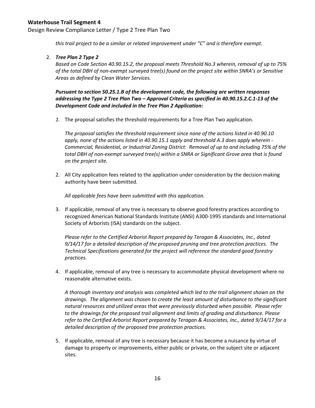Design Review Compliance Letter / Type 2 Tree Plan Two

*this trail project to be a similar or related improvement under "C" and is therefore exempt.* 

#### 2. *Tree Plan 2 Type 2*

*Based on Code Section 40.90.15.2, the proposal meets Threshold No.3 wherein, removal of up to 75% of the total DBH of non-exempt surveyed tree(s) found on the project site within SNRA's or Sensitive Areas as defined by Clean Water Services.*

*Pursuant to section 50.25.1.B of the development code, the following are written responses addressing the Type 2 Tree Plan Two – Approval Criteria as specified in 40.90.15.2.C.1-13 of the Development Code and included in the Tree Plan 2 Application:*

*1.* The proposal satisfies the threshold requirements for a Tree Plan Two application.

*The proposal satisfies the threshold requirement since none of the actions listed in 40.90.10 apply, none of the actions listed in 40.90.15.1 apply and threshold A.3 does apply wherein - Commercial, Residential, or Industrial Zoning District: Removal of up to and including 75% of the total DBH of non-exempt surveyed tree(s) within a SNRA or Significant Grove area that is found on the project site.*

2. All City application fees related to the application under consideration by the decision making authority have been submitted.

*All applicable fees have been submitted with this application.*

3. If applicable, removal of any tree is necessary to observe good forestry practices according to recognized American National Standards Institute (ANSI) A300-1995 standards and International Society of Arborists (ISA) standards on the subject.

*Please refer to the Certified Arborist Report prepared by Teragan & Associates, Inc., dated 9/14/17 for a detailed description of the proposed pruning and tree protection practices. The Technical Specifications generated for the project will reference the standard good forestry practices.*

4. If applicable, removal of any tree is necessary to accommodate physical development where no reasonable alternative exists.

*A thorough inventory and analysis was completed which led to the trail alignment shown on the drawings. The alignment was chosen to create the least amount of disturbance to the significant natural resources and utilized areas that were previously disturbed when possible. Please refer to the drawings for the proposed trail alignment and limits of grading and disturbance. Please refer to the Certified Arborist Report prepared by Teragan & Associates, Inc., dated 9/14/17 for a detailed description of the proposed tree protection practices.*

5. If applicable, removal of any tree is necessary because it has become a nuisance by virtue of damage to property or improvements, either public or private, on the subject site or adjacent sites.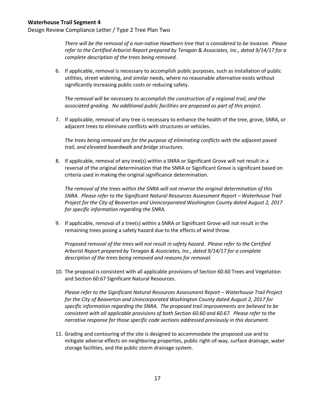Design Review Compliance Letter / Type 2 Tree Plan Two

*There will be the removal of a non-native Hawthorn tree that is considered to be invasive. Please refer to the Certified Arborist Report prepared by Teragan & Associates, Inc., dated 9/14/17 for a complete description of the trees being removed.* 

6. If applicable, removal is necessary to accomplish public purposes, such as installation of public utilities, street widening, and similar needs, where no reasonable alternative exists without significantly increasing public costs or reducing safety.

*The removal will be necessary to accomplish the construction of a regional trail, and the associated grading. No additional public facilities are proposed as part of this project.*

7. If applicable, removal of any tree is necessary to enhance the health of the tree, grove, SNRA, or adjacent trees to eliminate conflicts with structures or vehicles.

*The trees being removed are for the purpose of eliminating conflicts with the adjacent paved trail, and elevated boardwalk and bridge structures.*

8. If applicable, removal of any tree(s) within a SNRA or Significant Grove will not result in a reversal of the original determination that the SNRA or Significant Grove is significant based on criteria used in making the original significance determination.

*The removal of the trees within the SNRA will not reverse the original determination of this SNRA. Please refer to the Significant Natural Resources Assessment Report – Waterhouse Trail Project for the City of Beaverton and Unincorporated Washington County dated August 2, 2017 for specific information regarding the SNRA.*

9. If applicable, removal of a tree(s) within a SNRA or Significant Grove will not result in the remaining trees posing a safety hazard due to the effects of wind throw.

*Proposed removal of the trees will not result in safety hazard. Please refer to the Certified Arborist Report prepared by Teragan & Associates, Inc., dated 9/14/17 for a complete description of the trees being removed and reasons for removal.*

10. The proposal is consistent with all applicable provisions of Section 60.60 Trees and Vegetation and Section 60.67 Significant Natural Resources.

*Please refer to the Significant Natural Resources Assessment Report – Waterhouse Trail Project for the City of Beaverton and Unincorporated Washington County dated August 2, 2017 for specific information regarding the SNRA. The proposed trail improvements are believed to be consistent with all applicable provisions of both Section 60.60 and 60.67. Please refer to the narrative response for those specific code sections addressed previously in this document.*

11. Grading and contouring of the site is designed to accommodate the proposed use and to mitigate adverse effects on neighboring properties, public right-of-way, surface drainage, water storage facilities, and the public storm drainage system.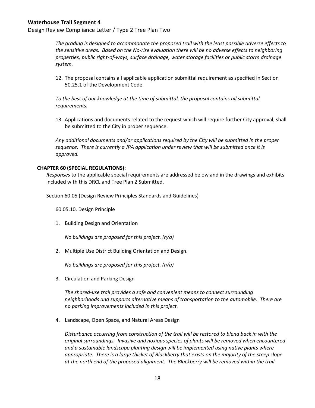Design Review Compliance Letter / Type 2 Tree Plan Two

*The grading is designed to accommodate the proposed trail with the least possible adverse effects to the sensitive areas. Based on the No-rise evaluation there will be no adverse effects to neighboring properties, public right-of-ways, surface drainage, water storage facilities or public storm drainage system.* 

12. The proposal contains all applicable application submittal requirement as specified in Section 50.25.1 of the Development Code.

*To the best of our knowledge at the time of submittal, the proposal contains all submittal requirements.* 

13. Applications and documents related to the request which will require further City approval, shall be submitted to the City in proper sequence.

*Any additional documents and/or applications required by the City will be submitted in the proper sequence. There is currently a JPA application under review that will be submitted once it is approved.* 

#### **CHAPTER 60 (SPECIAL REGULATIONS):**

*Responses* to the applicable special requirements are addressed below and in the drawings and exhibits included with this DRCL and Tree Plan 2 Submitted.

Section 60.05 (Design Review Principles Standards and Guidelines)

60.05.10. Design Principle

1. Building Design and Orientation

*No buildings are proposed for this project. (n/a)*

2. Multiple Use District Building Orientation and Design.

*No buildings are proposed for this project. (n/a)*

3. Circulation and Parking Design

*The shared-use trail provides a safe and convenient means to connect surrounding neighborhoods and supports alternative means of transportation to the automobile. There are no parking improvements included in this project.*

4. Landscape, Open Space, and Natural Areas Design

*Disturbance occurring from construction of the trail will be restored to blend back in with the original surroundings. Invasive and noxious species of plants will be removed when encountered and a sustainable landscape planting design will be implemented using native plants where appropriate. There is a large thicket of Blackberry that exists on the majority of the steep slope at the north end of the proposed alignment. The Blackberry will be removed within the trail*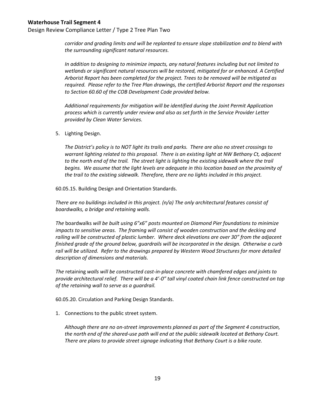*corridor and grading limits and will be replanted to ensure slope stabilization and to blend with the surrounding significant natural resources.* 

*In addition to designing to minimize impacts, any natural features including but not limited to wetlands or significant natural resources will be restored, mitigated for or enhanced. A Certified Arborist Report has been completed for the project. Trees to be removed will be mitigated as required. Please refer to the Tree Plan drawings, the certified Arborist Report and the responses to Section 60.60 of the COB Development Code provided below.* 

*Additional requirements for mitigation will be identified during the Joint Permit Application process which is currently under review and also as set forth in the Service Provider Letter provided by Clean Water Services.*

5. Lighting Design.

*The District's policy is to NOT light its trails and parks. There are also no street crossings to warrant lighting related to this proposal. There is an existing light at NW Bethany Ct, adjacent*  to the north end of the trail. The street light is lighting the existing sidewalk where the trail *begins. We assume that the light levels are adequate in this location based on the proximity of the trail to the existing sidewalk. Therefore, there are no lights included in this project.* 

60.05.15. Building Design and Orientation Standards.

*There are no buildings included in this project. (n/a) The only architectural features consist of boardwalks, a bridge and retaining walls.* 

*The* boardwalks *will be built using 6"x6" posts mounted on Diamond Pier foundations to minimize impacts to sensitive areas. The framing will consist of wooden construction and the decking and railing will be constructed of plastic lumber. Where deck elevations are over 30" from the adjacent finished grade of the ground below, guardrails will be incorporated in the design. Otherwise a curb rail will be utilized. Refer to the drawings prepared by Western Wood Structures for more detailed description of dimensions and materials.*

*The* retaining *walls will be constructed cast-in-place concrete with chamfered edges and joints to provide architectural relief. There will be a 4'-0" tall vinyl coated chain link fence constructed on top of the retaining wall to serve as a guardrail.*

60.05.20. Circulation and Parking Design Standards.

1. Connections to the public street system.

*Although there are no on-street improvements planned as part of the Segment 4 construction, the north end of the shared-use path will end at the public sidewalk located at Bethany Court. There are plans to provide street signage indicating that Bethany Court is a bike route.*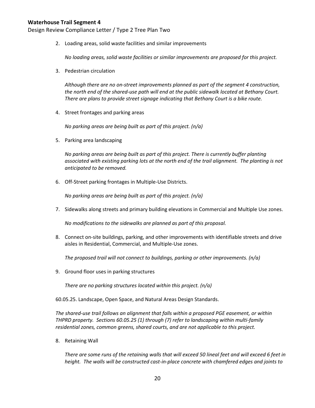Design Review Compliance Letter / Type 2 Tree Plan Two

2. Loading areas, solid waste facilities and similar improvements

*No loading areas, solid waste facilities or similar improvements are proposed for this project.*

3. Pedestrian circulation

*Although there are no on-street improvements planned as part of the segment 4 construction, the north end of the shared-use path will end at the public sidewalk located at Bethany Court. There are plans to provide street signage indicating that Bethany Court is a bike route.*

4. Street frontages and parking areas

*No parking areas are being built as part of this project. (n/a)*

5. Parking area landscaping

*No parking areas are being built as part of this project. There is currently buffer planting associated with existing parking lots at the north end of the trail alignment. The planting is not anticipated to be removed.*

6. Off-Street parking frontages in Multiple-Use Districts.

*No parking areas are being built as part of this project. (n/a)*

7. Sidewalks along streets and primary building elevations in Commercial and Multiple Use zones.

*No modifications to the sidewalks are planned as part of this proposal.*

8. Connect on-site buildings, parking, and other improvements with identifiable streets and drive aisles in Residential, Commercial, and Multiple-Use zones.

*The proposed trail will not connect to buildings, parking or other improvements. (n/a)*

9. Ground floor uses in parking structures

*There are no parking structures located within this project. (n/a)*

60.05.25. Landscape, Open Space, and Natural Areas Design Standards.

*The shared-use trail follows an alignment that falls within a proposed PGE easement, or within THPRD property. Sections 60.05.25 (1) through (7) refer to landscaping within multi-family residential zones, common greens, shared courts, and are not applicable to this project.* 

8. Retaining Wall

*There are some runs of the retaining walls that will exceed 50 lineal feet and will exceed 6 feet in height. The walls will be constructed cast-in-place concrete with chamfered edges and joints to*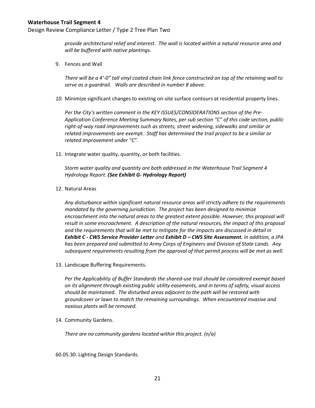*provide architectural relief and interest. The wall is located within a natural resource area and will be buffered with native plantings.*

9. Fences and Wall

*There will be a 4'-0" tall vinyl coated chain link fence constructed on top of the retaining wall to serve as a guardrail. Walls are described in number 8 above.*

*10.* Minimize significant changes to existing on-site surface contours at residential property lines.

*Per the City's written comment in the KEY ISSUES/CONSIDERATIONS section of the Pre-Application Conference Meeting Summary Notes, per sub section "C" of this code section, public right-of-way road improvements such as streets, street widening, sidewalks and similar or related improvements are exempt. Staff has determined the trail project to be a similar or related improvement under "C".*

11. Integrate water quality, quantity, or both facilities.

*Storm water quality and quantity are both addressed in the Waterhouse Trail Segment 4 Hydrology Report. (See Exhibit G- Hydrology Report)*

12. Natural Areas

*Any disturbance within significant natural resource areas will strictly adhere to the requirements mandated by the governing jurisdiction. The project has been designed to minimize encroachment into the natural areas to the greatest extent possible. However, this proposal will result in some encroachment. A description of the natural resources, the impact of this proposal and the requirements that will be met to mitigate for the impacts are discussed in detail in Exhibit C - CWS Service Provider Letter and Exhibit D – CWS Site Assessment. In addition, a JPA has been prepared and submitted to Army Corps of Engineers and Division of State Lands. Any subsequent requirements resulting from the approval of that permit process will be met as well.* 

13. Landscape Buffering Requirements.

*Per the Applicability of Buffer Standards the shared-use trail should be considered exempt based on its alignment through existing public utility easements, and in terms of safety, visual access should be maintained. The disturbed areas adjacent to the path will be restored with groundcover or lawn to match the remaining surroundings. When encountered invasive and noxious plants will be removed.*

14. Community Gardens.

*There are no community gardens located within this project. (n/a)*

60.05.30. Lighting Design Standards.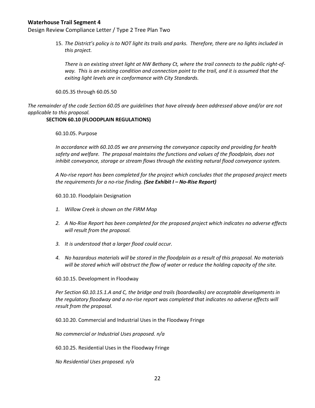Design Review Compliance Letter / Type 2 Tree Plan Two

15. *The District's policy is to NOT light its trails and parks. Therefore, there are no lights included in this project.* 

*There is an existing street light at NW Bethany Ct, where the trail connects to the public right-ofway. This is an existing condition and connection point to the trail, and it is assumed that the exiting light levels are in conformance with City Standards.* 

60.05.35 through 60.05.50

*The remainder of the code Section 60.05 are guidelines that have already been addressed above and/or are not applicable to this proposal.*

#### **SECTION 60.10 (FLOODPLAIN REGULATIONS)**

60.10.05. Purpose

*In accordance with 60.10.05 we are preserving the conveyance capacity and providing for health safety and welfare. The proposal maintains the functions and values of the floodplain, does not inhibit conveyance, storage or stream flows through the existing natural flood conveyance system.* 

*A No-rise report has been completed for the project which concludes that the proposed project meets the requirements for a no-rise finding. (See Exhibit I – No-Rise Report)*

60.10.10. Floodplain Designation

- *1. Willow Creek is shown on the FIRM Map*
- *2. A No-Rise Report has been completed for the proposed project which indicates no adverse effects will result from the proposal.*
- *3. It is understood that a larger flood could occur.*
- *4. No hazardous materials will be stored in the floodplain as a result of this proposal. No materials will be stored which will obstruct the flow of water or reduce the holding capacity of the site.*

60.10.15. Development in Floodway

*Per Section 60.10.15.1.A and C, the bridge and trails (boardwalks) are acceptable developments in the regulatory floodway and a no-rise report was completed that indicates no adverse effects will result from the proposal.*

60.10.20. Commercial and Industrial Uses in the Floodway Fringe

*No commercial or Industrial Uses proposed. n/a* 

60.10.25. Residential Uses in the Floodway Fringe

*No Residential Uses proposed. n/a*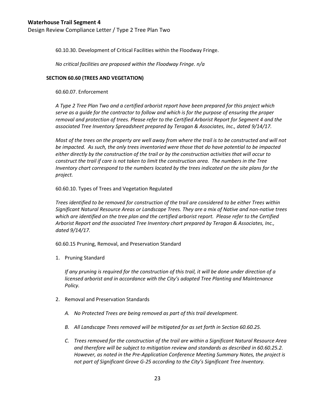60.10.30. Development of Critical Facilities within the Floodway Fringe.

*No critical facilities are proposed within the Floodway Fringe. n/a*

#### **SECTION 60.60 (TREES AND VEGETATION)**

60.60.07. Enforcement

*A Type 2 Tree Plan Two and a certified arborist report have been prepared for this project which serve as a guide for the contractor to follow and which is for the purpose of ensuring the proper removal and protection of trees. Please refer to the Certified Arborist Report for Segment 4 and the associated Tree Inventory Spreadsheet prepared by Teragan & Associates, Inc., dated 9/14/17.*

*Most of the trees on the property are well away from where the trail is to be constructed and will not be impacted. As such, the only trees inventoried were those that do have potential to be impacted either directly by the construction of the trail or by the construction activities that will occur to construct the trail if care is not taken to limit the construction area. The numbers in the Tree Inventory chart correspond to the numbers located by the trees indicated on the site plans for the project.*

60.60.10. Types of Trees and Vegetation Regulated

*Trees identified to be removed for construction of the trail are considered to be either Trees within Significant Natural Resource Areas or Landscape Trees. They are a mix of Native and non-native trees which are identified on the tree plan and the certified arborist report. Please refer to the Certified Arborist Report and the associated Tree Inventory chart prepared by Teragan & Associates, Inc., dated 9/14/17.*

60.60.15 Pruning, Removal, and Preservation Standard

1. Pruning Standard

*If any pruning is required for the construction of this trail, it will be done under direction of a licensed arborist and in accordance with the City's adopted Tree Planting and Maintenance Policy.*

- 2. Removal and Preservation Standards
	- *A. No Protected Trees are being removed as part of this trail development.*
	- *B. All Landscape Trees removed will be mitigated for as set forth in Section 60.60.25.*
	- *C. Trees removed for the construction of the trail are within a Significant Natural Resource Area and therefore will be subject to mitigation review and standards as described in 60.60.25.2. However, as noted in the Pre-Application Conference Meeting Summary Notes, the project is not part of Significant Grove G-25 according to the City's Significant Tree Inventory.*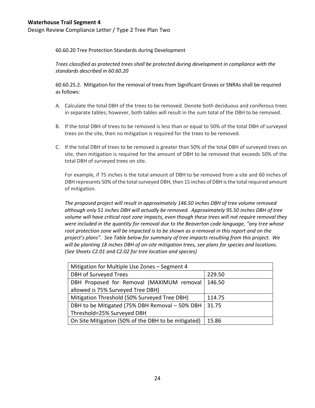60.60.20 Tree Protection Standards during Development

*Trees classified as protected trees shall be protected during development in compliance with the standards described in 60.60.20*

60.60.25.2. Mitigation for the removal of trees from Significant Groves or SNRAs shall be required as follows:

- A. Calculate the total DBH of the trees to be removed. Denote both deciduous and coniferous trees in separate tables; however, both tables will result in the sum total of the DBH to be removed.
- B. If the total DBH of trees to be removed is less than or equal to 50% of the total DBH of surveyed trees on the site, then no mitigation is required for the trees to be removed.
- C. If the total DBH of trees to be removed is greater than 50% of the total DBH of surveyed trees on site, then mitigation is required for the amount of DBH to be removed that exceeds 50% of the total DBH of surveyed trees on site.

For example, if 75 inches is the total amount of DBH to be removed from a site and 60 inches of DBH represents 50% of the total surveyed DBH, then 15 inches of DBH is the total required amount of mitigation.

*The proposed project will result in approximately 146.50 inches DBH of tree volume removed although only 51 inches DBH will actually be removed. Approximately 95.50 inches DBH of tree volume will have critical root zone impacts, even though these trees will not require removal they were included in the quantity for removal due to the Beaverton code language, "any tree whose*  root protection zone will be impacted is to be shown as a removal in this report and on the *project's plans". See Table below for summary of tree impacts resulting from this project. We will be planting 18 inches DBH of on-site mitigation trees, see plans for species and locations. (See Sheets C2.01 and C2.02 for tree location and species)*

| Mitigation for Multiple Use Zones - Segment 4       |        |  |  |
|-----------------------------------------------------|--------|--|--|
| DBH of Surveyed Trees                               | 229.50 |  |  |
| DBH Proposed for Removal (MAXIMUM removal           | 146.50 |  |  |
| allowed is 75% Surveyed Tree DBH)                   |        |  |  |
| Mitigation Threshold (50% Surveyed Tree DBH)        | 114.75 |  |  |
| DBH to be Mitigated (75% DBH Removal - 50% DBH      | 31.75  |  |  |
| Threshold=25% Surveyed DBH                          |        |  |  |
| On Site Mitigation (50% of the DBH to be mitigated) | 15.86  |  |  |